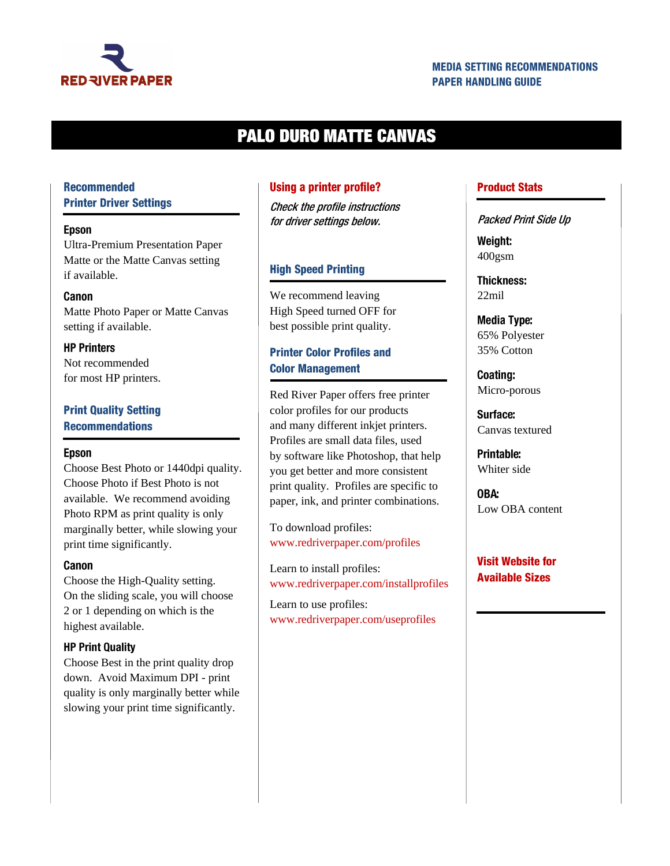

### **MEDIA SETTING RECOMMENDATIONS PAPER HANDLING GUIDE**

# **PALO DURO MATTE CANVAS**

### **Recommended Printer Driver Settings**

#### **Epson**

Ultra-Premium Presentation Paper Matte or the Matte Canvas setting if available.

#### Canon

Matte Photo Paper or Matte Canvas setting if available.

**HP Printers** Not recommended for most HP printers.

### **Print Quality Setting Recommendations**

#### **Epson**

Choose Best Photo or 1440dpi quality. Choose Photo if Best Photo is not available. We recommend avoiding Photo RPM as print quality is only marginally better, while slowing your print time significantly.

#### Canon

Choose the High-Quality setting. On the sliding scale, you will choose 2 or 1 depending on which is the highest available.

#### **HP Print Quality**

Choose Best in the print quality drop down. Avoid Maximum DPI - print quality is only marginally better while slowing your print time significantly.

#### **Using a printer profile?**

Check the profile instructions for driver settings below.

#### **High Speed Printing**

We recommend leaving High Speed turned OFF for best possible print quality.

### **Printer Color Profiles and Color Management**

Red River Paper offers free printer color profiles for our products and many different inkjet printers. Profiles are small data files, used by software like Photoshop, that help you get better and more consistent print quality. Profiles are specific to paper, ink, and printer combinations.

To download profiles: [www.redriverpaper.com/profiles](http://www.redriverpaper.com/profiles)

Learn to install profiles: [www.redriverpaper.com/installprofiles](http://www.redriverpaper.com/installprofiles)

Learn to use profiles: www.redriverpaper.com/useprofiles

#### **Product Stats**

Packed Print Side Up

Weight: 400gsm

**Thickness:** 22mil

**Media Type:** 65% Polyester 35% Cotton

Coating: Micro-porous

Surface: Canvas textured

Printable: Whiter side

OBA: Low OBA content

### **Visit Website for Available Sizes**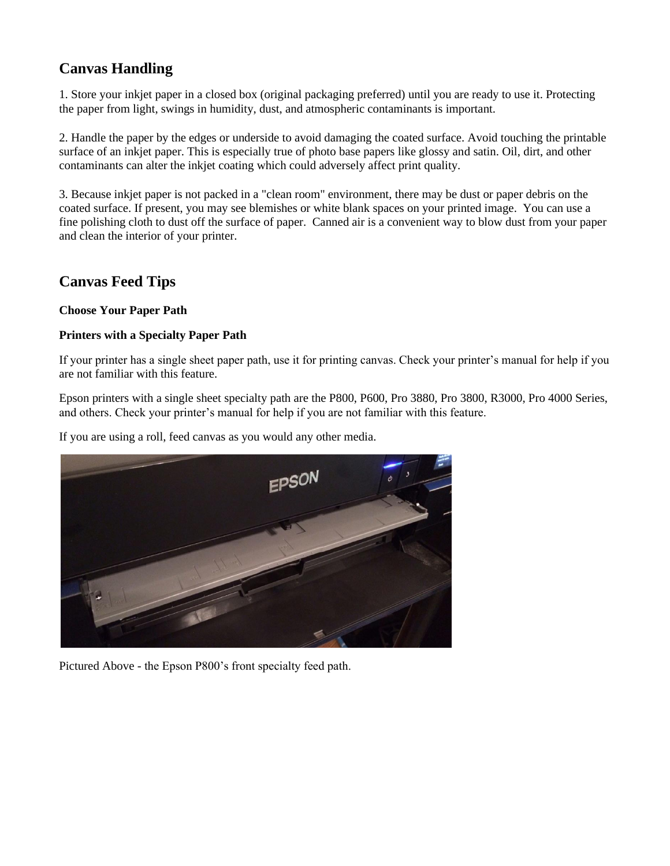# **Canvas Handling**

1. Store your inkjet paper in a closed box (original packaging preferred) until you are ready to use it. Protecting the paper from light, swings in humidity, dust, and atmospheric contaminants is important.

2. Handle the paper by the edges or underside to avoid damaging the coated surface. Avoid touching the printable surface of an inkjet paper. This is especially true of photo base papers like glossy and satin. Oil, dirt, and other contaminants can alter the inkjet coating which could adversely affect print quality.

3. Because inkjet paper is not packed in a "clean room" environment, there may be dust or paper debris on the coated surface. If present, you may see blemishes or white blank spaces on your printed image. You can use a fine polishing cloth to dust off the surface of paper. Canned air is a convenient way to blow dust from your paper and clean the interior of your printer.

## **Canvas Feed Tips**

### **Choose Your Paper Path**

### **Printers with a Specialty Paper Path**

If your printer has a single sheet paper path, use it for printing canvas. Check your printer's manual for help if you are not familiar with this feature.

Epson printers with a single sheet specialty path are the P800, P600, Pro 3880, Pro 3800, R3000, Pro 4000 Series, and others. Check your printer's manual for help if you are not familiar with this feature.

If you are using a roll, feed canvas as you would any other media.



Pictured Above - the Epson P800's front specialty feed path.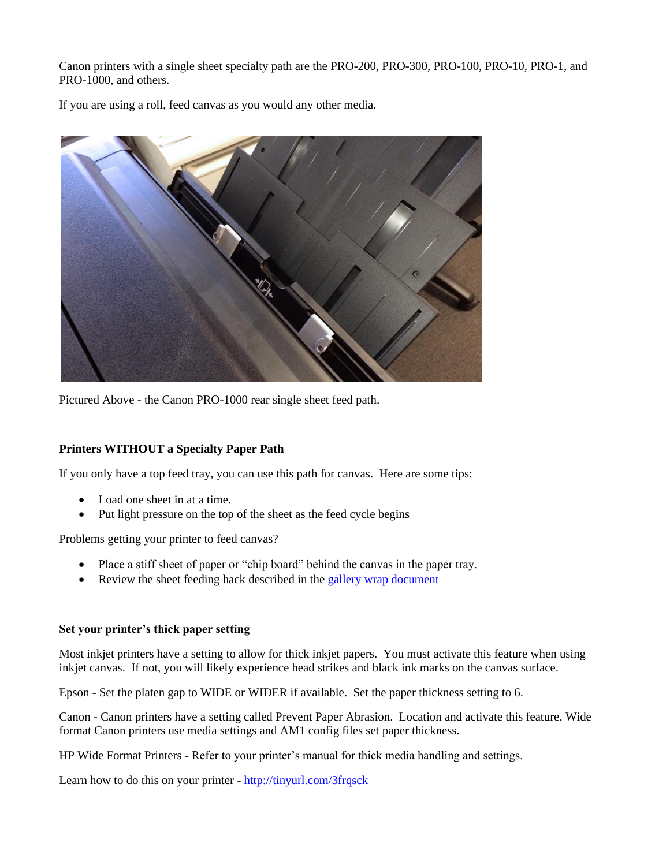Canon printers with a single sheet specialty path are the PRO-200, PRO-300, PRO-100, PRO-10, PRO-1, and PRO-1000, and others.

If you are using a roll, feed canvas as you would any other media.



Pictured Above - the Canon PRO-1000 rear single sheet feed path.

### **Printers WITHOUT a Specialty Paper Path**

If you only have a top feed tray, you can use this path for canvas. Here are some tips:

- Load one sheet in at a time.
- Put light pressure on the top of the sheet as the feed cycle begins

Problems getting your printer to feed canvas?

- Place a stiff sheet of paper or "chip board" behind the canvas in the paper tray.
- Review the sheet feeding hack described in the [gallery wrap document](http://www.redrivercatalog.com/infocenter/tips/make-a-gallery-wrap-blanco.pdf)

#### **Set your printer's thick paper setting**

Most inkjet printers have a setting to allow for thick inkjet papers. You must activate this feature when using inkjet canvas. If not, you will likely experience head strikes and black ink marks on the canvas surface.

Epson - Set the platen gap to WIDE or WIDER if available. Set the paper thickness setting to 6.

Canon - Canon printers have a setting called Prevent Paper Abrasion. Location and activate this feature. Wide format Canon printers use media settings and AM1 config files set paper thickness.

HP Wide Format Printers - Refer to your printer's manual for thick media handling and settings.

Learn how to do this on your printer - <http://tinyurl.com/3frqsck>